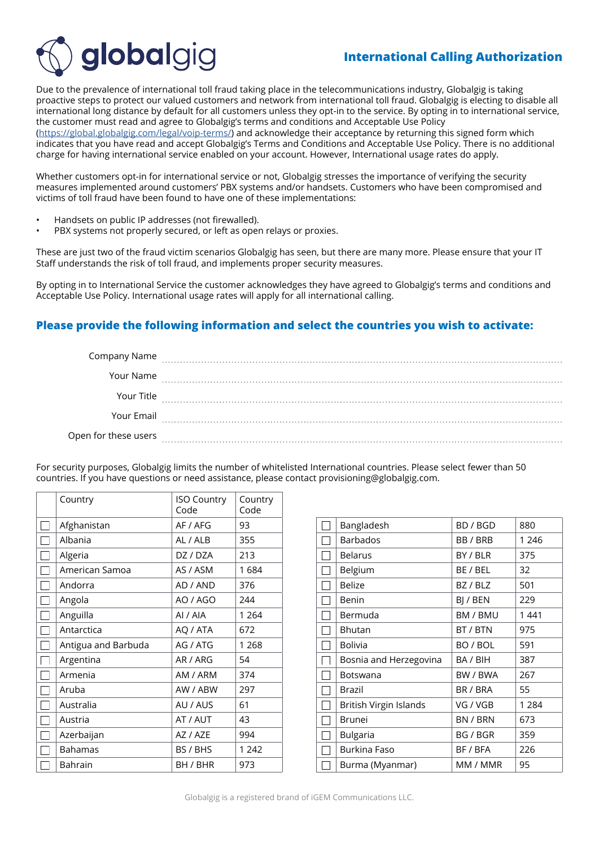

## **International Calling Authorization**

Due to the prevalence of international toll fraud taking place in the telecommunications industry, Globalgig is taking proactive steps to protect our valued customers and network from international toll fraud. Globalgig is electing to disable all international long distance by default for all customers unless they opt-in to the service. By opting in to international service, the customer must read and agree to Globalgig's terms and conditions and Acceptable Use Policy ([https://global.globalgig.com/legal/voip-terms/\)](https://global.globalgig.com/legal/voip-terms/) and acknowledge their acceptance by returning this signed form which

indicates that you have read and accept Globalgig's Terms and Conditions and Acceptable Use Policy. There is no additional charge for having international service enabled on your account. However, International usage rates do apply.

Whether customers opt-in for international service or not, Globalgig stresses the importance of verifying the security measures implemented around customers' PBX systems and/or handsets. Customers who have been compromised and victims of toll fraud have been found to have one of these implementations:

• Handsets on public IP addresses (not firewalled).

O<sub>p</sub>

PBX systems not properly secured, or left as open relays or proxies.

These are just two of the fraud victim scenarios Globalgig has seen, but there are many more. Please ensure that your IT Staff understands the risk of toll fraud, and implements proper security measures.

By opting in to International Service the customer acknowledges they have agreed to Globalgig's terms and conditions and Acceptable Use Policy. International usage rates will apply for all international calling.

## **Please provide the following information and select the countries you wish to activate:**

| Company Name       |  |
|--------------------|--|
| Your Name          |  |
| Your Title         |  |
| Your Email         |  |
| en for these users |  |

For security purposes, Globalgig limits the number of whitelisted International countries. Please select fewer than 50 countries. If you have questions or need assistance, please contact provisioning@globalgig.com.

| Country             | <b>ISO Country</b><br>Code | Country<br>Code |
|---------------------|----------------------------|-----------------|
| Afghanistan         | AF / AFG                   | 93              |
| Albania             | AL / ALB                   | 355             |
| Algeria             | DZ / DZA                   | 213             |
| American Samoa      | AS / ASM                   | 1684            |
| Andorra             | AD / AND                   | 376             |
| Angola              | AO / AGO                   | 244             |
| Anguilla            | AI / AIA                   | 1 2 6 4         |
| Antarctica          | AQ / ATA                   | 672             |
| Antigua and Barbuda | AG / ATG                   | 1 2 6 8         |
| Argentina           | AR / ARG                   | 54              |
| Armenia             | AM / ARM                   | 374             |
| Aruba               | AW / ABW                   | 297             |
| Australia           | AU / AUS                   | 61              |
| Austria             | AT / AUT                   | 43              |
| Azerbaijan          | AZ / AZE                   | 994             |
| <b>Bahamas</b>      | BS / BHS                   | 1 2 4 2         |
| <b>Bahrain</b>      | BH / BHR                   | 973             |

| Bangladesh             | BD / BGD | 880     |
|------------------------|----------|---------|
| <b>Barbados</b>        | BB / BRB | 1 2 4 6 |
| Belarus                | BY / BLR | 375     |
| Belgium                | BE / BEL | 32      |
| <b>Belize</b>          | BZ / BLZ | 501     |
| Benin                  | BI / BEN | 229     |
| Bermuda                | BM / BMU | 1 4 4 1 |
| Bhutan                 | BT / BTN | 975     |
| <b>Bolivia</b>         | BO / BOL | 591     |
| Bosnia and Herzegovina | BA / BIH | 387     |
| Botswana               | BW / BWA | 267     |
| Brazil                 | BR / BRA | 55      |
| British Virgin Islands | VG / VGB | 1 2 8 4 |
| Brunei                 | BN / BRN | 673     |
| Bulgaria               | BG / BGR | 359     |
| Burkina Faso           | BF / BFA | 226     |
| Burma (Myanmar)        | MM / MMR | 95      |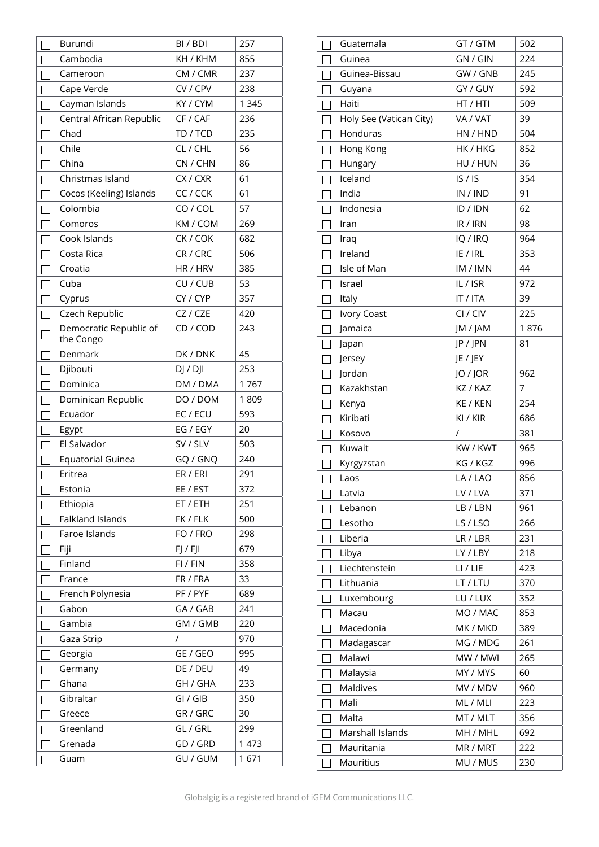|        | Burundi                             | BI / BDI | 257     |
|--------|-------------------------------------|----------|---------|
|        | Cambodia                            | KH / KHM | 855     |
|        | Cameroon                            | CM / CMR | 237     |
|        | Cape Verde                          | CV / CPV | 238     |
|        | Cayman Islands                      | KY / CYM | 1 3 4 5 |
|        | Central African Republic            | CF / CAF | 236     |
| $\Box$ | Chad                                | TD / TCD | 235     |
|        | Chile                               | CL / CHL | 56      |
|        | China                               | CN / CHN | 86      |
|        | Christmas Island                    | CX / CXR | 61      |
|        | Cocos (Keeling) Islands             | CC / CCK | 61      |
| $\Box$ | Colombia                            | CO / COL | 57      |
| $\Box$ | Comoros                             | KM / COM | 269     |
|        | Cook Islands                        | CK / COK | 682     |
|        | Costa Rica                          | CR / CRC | 506     |
|        | Croatia                             | HR / HRV | 385     |
|        | Cuba                                | CU / CUB | 53      |
|        | Cyprus                              | CY / CYP | 357     |
| $\Box$ | Czech Republic                      | CZ / CZE | 420     |
| $\Box$ | Democratic Republic of<br>the Congo | CD / COD | 243     |
|        | Denmark                             | DK / DNK | 45      |
|        | Djibouti                            | DJ / DJ  | 253     |
|        | Dominica                            | DM / DMA | 1767    |
|        | Dominican Republic                  | DO / DOM | 1809    |
|        | Ecuador                             | EC / ECU | 593     |
|        | Egypt                               | EG / EGY | 20      |
|        | El Salvador                         | SV / SLV | 503     |
|        | Equatorial Guinea                   | GQ / GNQ | 240     |
|        | Eritrea                             | ER / ERI | 291     |
| $\Box$ | Estonia                             | EE / EST | 372     |
|        | Ethiopia                            | ET / ETH | 251     |
|        | Falkland Islands                    | FK / FLK | 500     |
|        | Faroe Islands                       | FO / FRO | 298     |
|        | Fiji                                | FJ / FJI | 679     |
|        | Finland                             | FI / FIN | 358     |
| П      | France                              | FR / FRA | 33      |
| $\Box$ | French Polynesia                    | PF / PYF | 689     |
| $\Box$ | Gabon                               | GA / GAB | 241     |
| $\Box$ | Gambia                              | GM / GMB | 220     |
|        | Gaza Strip                          | $\prime$ | 970     |
|        | Georgia                             | GE / GEO | 995     |
|        | Germany                             | DE / DEU | 49      |
| $\Box$ | Ghana                               | GH / GHA | 233     |
|        | Gibraltar                           | GI / GIB | 350     |
|        | Greece                              | GR / GRC | 30      |
|        | Greenland                           | GL / GRL | 299     |
|        | Grenada                             | GD / GRD | 1 473   |
|        | Guam                                | GU / GUM | 1671    |

| Guatemala               | GT / GTM | 502  |
|-------------------------|----------|------|
| Guinea                  | GN / GIN | 224  |
| Guinea-Bissau           | GW / GNB | 245  |
| Guyana                  | GY / GUY | 592  |
| Haiti                   | HT / HTI | 509  |
| Holy See (Vatican City) | VA / VAT | 39   |
| Honduras                | HN / HND | 504  |
| Hong Kong               | HK / HKG | 852  |
| Hungary                 | HU / HUN | 36   |
| Iceland                 | IS/IS    | 354  |
| India                   | IN / IND | 91   |
| Indonesia               | ID / IDN | 62   |
| Iran                    | IR / IRN | 98   |
| Iraq                    | IQ / IRQ | 964  |
| Ireland                 | IE / IRL | 353  |
| Isle of Man             | IM / IMN | 44   |
| Israel                  | IL/ISR   | 972  |
| Italy                   | IT / ITA | 39   |
| Ivory Coast             | CI / CIV | 225  |
| Jamaica                 | JM / JAM | 1876 |
| Japan                   | JP / JPN | 81   |
| Jersey                  | JE / JEY |      |
| Jordan                  | JO / JOR | 962  |
| Kazakhstan              | KZ / KAZ | 7    |
| Kenya                   | KE / KEN | 254  |
| Kiribati                | KI / KIR | 686  |
| Kosovo                  | $\prime$ | 381  |
| Kuwait                  | KW / KWT | 965  |
| Kyrgyzstan              | KG / KGZ | 996  |
| Laos                    | LA / LAO | 856  |
| Latvia                  | LV / LVA | 371  |
| Lebanon                 | LB / LBN | 961  |
| Lesotho                 | LS / LSO | 266  |
| Liberia                 | LR / LBR | 231  |
| Libya                   | LY / LBY | 218  |
| Liechtenstein           | LI / LIE | 423  |
| Lithuania               | LT / LTU | 370  |
| Luxembourg              | LU / LUX | 352  |
| Macau                   | MO / MAC | 853  |
| Macedonia               | MK / MKD | 389  |
| Madagascar              | MG / MDG | 261  |
| Malawi                  | MW / MWI | 265  |
| Malaysia                | MY / MYS | 60   |
| Maldives                | MV / MDV | 960  |
| Mali                    | ML / MLI | 223  |
| Malta                   | MT / MLT | 356  |
| Marshall Islands        | MH / MHL | 692  |
| Mauritania              | MR / MRT | 222  |
| Mauritius               | MU / MUS | 230  |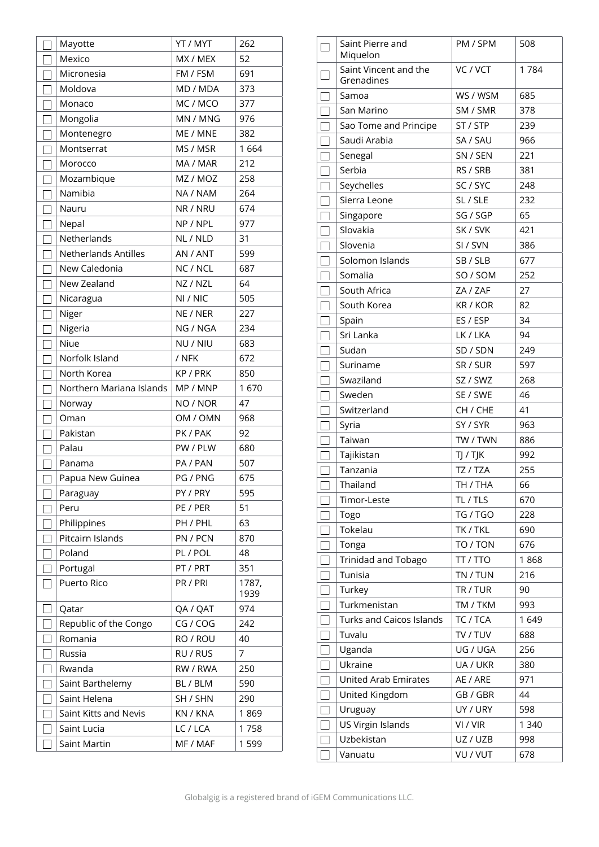| Mayotte                     | YT / MYT             | 262           |
|-----------------------------|----------------------|---------------|
| Mexico                      | MX / MEX             | 52            |
| Micronesia                  | FM / FSM             | 691           |
| Moldova                     | MD / MDA             | 373           |
| Monaco                      | MC / MCO             | 377           |
| Mongolia                    | MN / MNG             | 976           |
| Montenegro                  | ME / MNE             | 382           |
| Montserrat                  | MS / MSR             | 1664          |
| Morocco                     | MA / MAR             | 212           |
| Mozambique                  | MZ / MOZ             | 258           |
| Namibia                     | NA / NAM             | 264           |
| Nauru                       | NR / NRU             | 674           |
| Nepal                       | NP / NPL             | 977           |
| Netherlands                 | NL / NLD             | 31            |
| <b>Netherlands Antilles</b> | AN / ANT             | 599           |
| New Caledonia               | NC / NCL             | 687           |
| New Zealand                 | NZ / NZL             | 64            |
| Nicaragua                   | NI / NIC             | 505           |
| Niger                       | NE / NER             | 227           |
| Nigeria                     | NG / NGA             | 234           |
| Niue                        | NU / NIU             | 683           |
| Norfolk Island              | / NFK                | 672           |
| North Korea                 | KP / PRK             | 850           |
| Northern Mariana Islands    | MP / MNP             | 1670          |
|                             |                      |               |
| Norway                      | NO / NOR             | 47            |
| Oman                        | OM / OMN             | 968           |
| Pakistan                    | PK / PAK             | 92            |
| Palau                       | PW / PLW             | 680           |
| Panama                      | PA / PAN             | 507           |
| Papua New Guinea            | PG / PNG             | 675           |
| Paraguay                    | PY / PRY             | 595           |
| Peru                        | PE / PER             | 51            |
| Philippines                 | PH / PHL             | 63            |
| Pitcairn Islands            | PN / PCN             | 870           |
| Poland                      | PL / POL             | 48            |
| Portugal                    | PT / PRT             | 351           |
| Puerto Rico                 | PR / PRI             | 1787,<br>1939 |
| Qatar                       | QA / QAT             | 974           |
| Republic of the Congo       | CG / COG             | 242           |
| Romania                     | RO / ROU             | 40            |
| Russia                      | RU / RUS             | 7             |
| Rwanda                      | RW / RWA             | 250           |
| Saint Barthelemy            | BL / BLM             | 590           |
| Saint Helena                | SH / SHN             | 290           |
| Saint Kitts and Nevis       | KN / KNA             | 1869          |
| Saint Lucia                 | LC / LCA<br>MF / MAF | 1758<br>1599  |

| Saint Pierre and<br>Miquelon        | PM / SPM | 508     |
|-------------------------------------|----------|---------|
| Saint Vincent and the<br>Grenadines | VC / VCT | 1784    |
| Samoa                               | WS / WSM | 685     |
| San Marino                          | SM / SMR | 378     |
| Sao Tome and Principe               | ST / STP | 239     |
| Saudi Arabia                        | SA / SAU | 966     |
| Senegal                             | SN / SEN | 221     |
| Serbia                              | RS / SRB | 381     |
| Seychelles                          | SC / SYC | 248     |
| Sierra Leone                        | SL / SLE | 232     |
| Singapore                           | SG / SGP | 65      |
| Slovakia                            | SK / SVK | 421     |
| Slovenia                            | SI / SVN | 386     |
| Solomon Islands                     | SB / SLB | 677     |
| Somalia                             | SO / SOM | 252     |
| South Africa                        | ZA / ZAF | 27      |
| South Korea                         | KR / KOR | 82      |
| Spain                               | ES / ESP | 34      |
| Sri Lanka                           | LK / LKA | 94      |
| Sudan                               | SD / SDN | 249     |
| Suriname                            | SR / SUR | 597     |
| Swaziland                           | SZ / SWZ | 268     |
| Sweden                              | SE / SWE | 46      |
| Switzerland                         | CH / CHE | 41      |
| Syria                               | SY / SYR | 963     |
| Taiwan                              | TW / TWN | 886     |
| Tajikistan                          | TJ / TJK | 992     |
| Tanzania                            | TZ / TZA | 255     |
| Thailand                            | TH / THA | 66      |
| Timor-Leste                         | TL / TLS | 670     |
| Togo                                | TG / TGO | 228     |
| Tokelau                             | TK / TKL | 690     |
| Tonga                               | TO / TON | 676     |
| Trinidad and Tobago                 | TT / TTO | 1868    |
| Tunisia                             | TN / TUN | 216     |
| Turkey                              | TR / TUR | 90      |
| Turkmenistan                        | TM / TKM | 993     |
| <b>Turks and Caicos Islands</b>     | TC / TCA | 1649    |
| Tuvalu                              | TV / TUV | 688     |
| Uganda                              | UG / UGA | 256     |
| Ukraine                             | UA / UKR | 380     |
| <b>United Arab Emirates</b>         | AE / ARE | 971     |
| United Kingdom                      | GB / GBR | 44      |
| Uruguay                             | UY / URY | 598     |
| US Virgin Islands                   | VI / VIR | 1 3 4 0 |
| Uzbekistan                          | UZ / UZB | 998     |
| Vanuatu                             | VU / VUT | 678     |